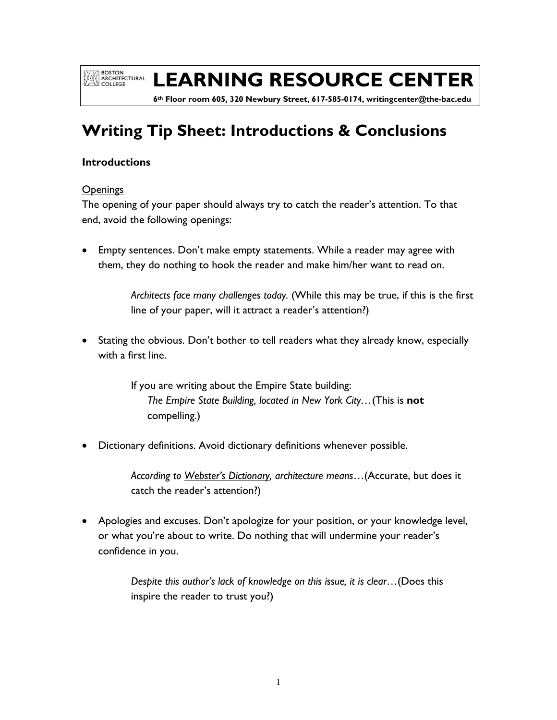**EXAMPLE SOLUTE AND ARCHITECTURAL** 

# **LEARNING RESOURCE CENTER**

 **6th Floor room 605, 320 Newbury Street, 617-585-0174, writingcenter@the-bac.edu**

# **Writing Tip Sheet: Introductions & Conclusions**

### **Introductions**

### **Openings**

The opening of your paper should always try to catch the reader's attention. To that end, avoid the following openings:

 Empty sentences. Don't make empty statements. While a reader may agree with them, they do nothing to hook the reader and make him/her want to read on.

> *Architects face many challenges today.* (While this may be true, if this is the first line of your paper, will it attract a reader's attention?)

• Stating the obvious. Don't bother to tell readers what they already know, especially with a first line.

> If you are writing about the Empire State building: *The Empire State Building, located in New York City…*(This is **not** compelling.)

Dictionary definitions. Avoid dictionary definitions whenever possible.

*According to Webster's Dictionary, architecture means*…(Accurate, but does it catch the reader's attention?)

 Apologies and excuses. Don't apologize for your position, or your knowledge level, or what you're about to write. Do nothing that will undermine your reader's confidence in you.

> *Despite this author's lack of knowledge on this issue, it is clear*…(Does this inspire the reader to trust you?)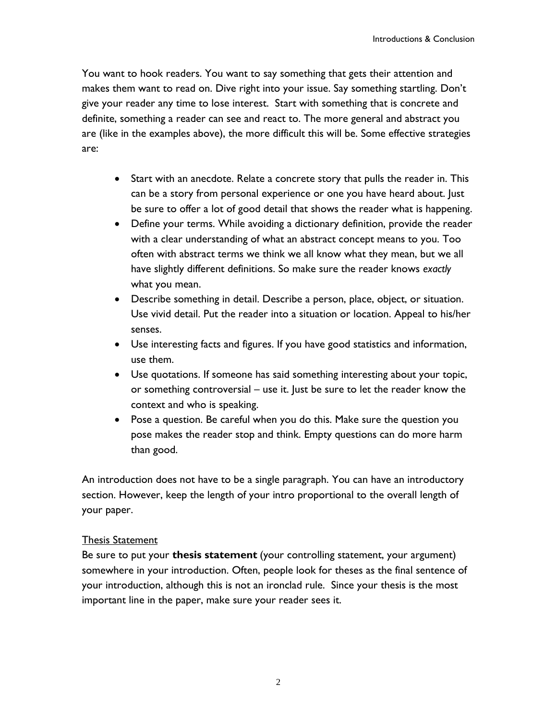You want to hook readers. You want to say something that gets their attention and makes them want to read on. Dive right into your issue. Say something startling. Don't give your reader any time to lose interest. Start with something that is concrete and definite, something a reader can see and react to. The more general and abstract you are (like in the examples above), the more difficult this will be. Some effective strategies are:

- Start with an anecdote. Relate a concrete story that pulls the reader in. This can be a story from personal experience or one you have heard about. Just be sure to offer a lot of good detail that shows the reader what is happening.
- Define your terms. While avoiding a dictionary definition, provide the reader with a clear understanding of what an abstract concept means to you. Too often with abstract terms we think we all know what they mean, but we all have slightly different definitions. So make sure the reader knows *exactly* what you mean.
- Describe something in detail. Describe a person, place, object, or situation. Use vivid detail. Put the reader into a situation or location. Appeal to his/her senses.
- Use interesting facts and figures. If you have good statistics and information, use them.
- Use quotations. If someone has said something interesting about your topic, or something controversial – use it. Just be sure to let the reader know the context and who is speaking.
- Pose a question. Be careful when you do this. Make sure the question you pose makes the reader stop and think. Empty questions can do more harm than good.

An introduction does not have to be a single paragraph. You can have an introductory section. However, keep the length of your intro proportional to the overall length of your paper.

#### Thesis Statement

Be sure to put your **thesis statement** (your controlling statement, your argument) somewhere in your introduction. Often, people look for theses as the final sentence of your introduction, although this is not an ironclad rule. Since your thesis is the most important line in the paper, make sure your reader sees it.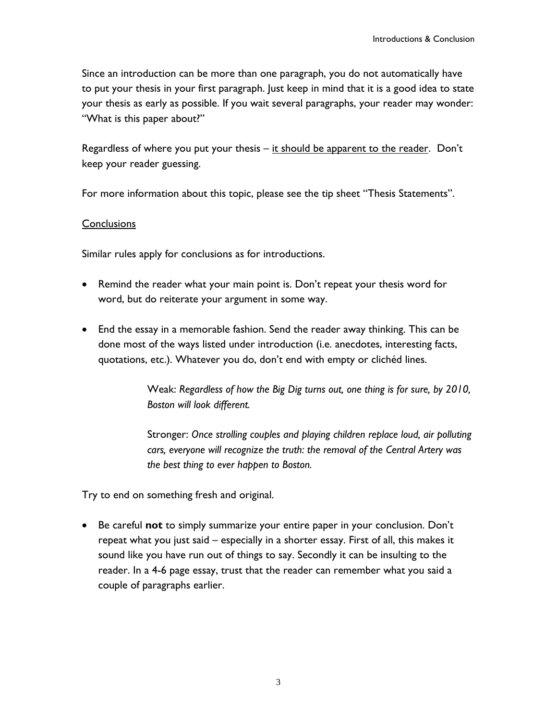Since an introduction can be more than one paragraph, you do not automatically have to put your thesis in your first paragraph. Just keep in mind that it is a good idea to state your thesis as early as possible. If you wait several paragraphs, your reader may wonder: "What is this paper about?"

Regardless of where you put your thesis – it should be apparent to the reader. Don't keep your reader guessing.

For more information about this topic, please see the tip sheet "Thesis Statements".

### **Conclusions**

Similar rules apply for conclusions as for introductions.

- Remind the reader what your main point is. Don't repeat your thesis word for word, but do reiterate your argument in some way.
- End the essay in a memorable fashion. Send the reader away thinking. This can be done most of the ways listed under introduction (i.e. anecdotes, interesting facts, quotations, etc.). Whatever you do, don't end with empty or clichéd lines.

Weak: *Regardless of how the Big Dig turns out, one thing is for sure, by 2010, Boston will look different.* 

Stronger: *Once strolling couples and playing children replace loud, air polluting cars, everyone will recognize the truth: the removal of the Central Artery was the best thing to ever happen to Boston.* 

Try to end on something fresh and original.

 Be careful **not** to simply summarize your entire paper in your conclusion. Don't repeat what you just said – especially in a shorter essay. First of all, this makes it sound like you have run out of things to say. Secondly it can be insulting to the reader. In a 4-6 page essay, trust that the reader can remember what you said a couple of paragraphs earlier.